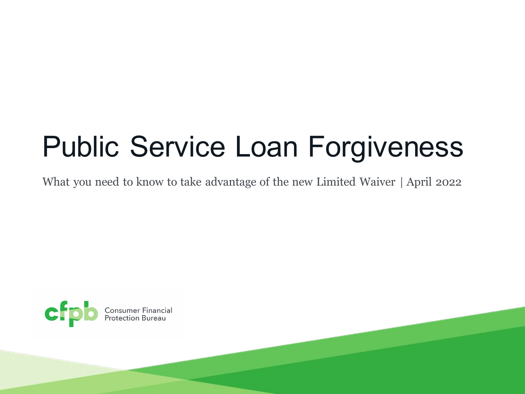# Public Service Loan Forgiveness

What you need to know to take advantage of the new Limited Waiver | April 2022

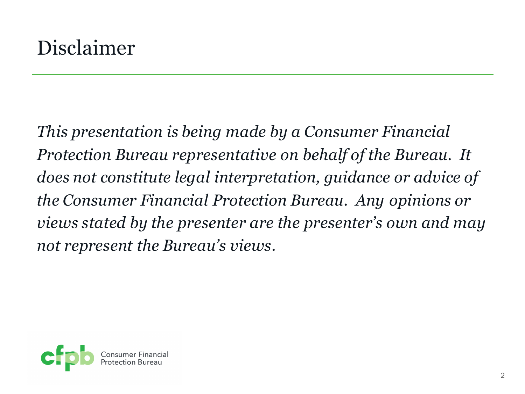*This presentation is being made by a Consumer Financial Protection Bureau representative on behalf of the Bureau. It does not constitute legal interpretation, guidance or advice of the Consumer Financial Protection Bureau. Any opinions or views stated by the presenter are the presenter's own and may not represent the Bureau's views.*

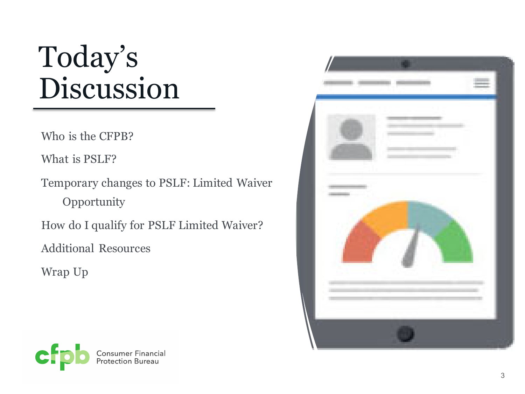# Today's Discussion

Who is the CFPB?

What is PSLF?

Temporary changes to PSLF: Limited Waiver **Opportunity** 

How do I qualify for PSLF Limited Waiver?

Additional Resources

Wrap Up



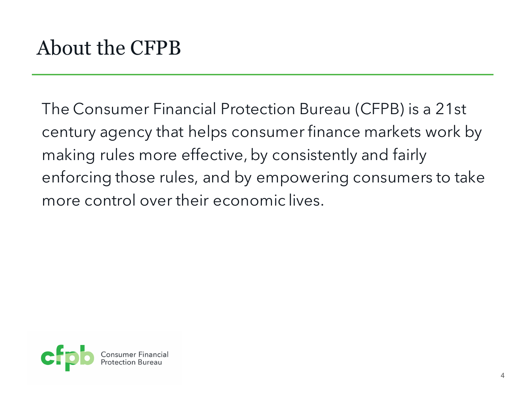The Consumer Financial Protection Bureau (CFPB) is a 21st century agency that helps consumer finance markets work by making rules more effective, by consistently and fairly enforcing those rules, and by empowering consumers to take more control over their economic lives.

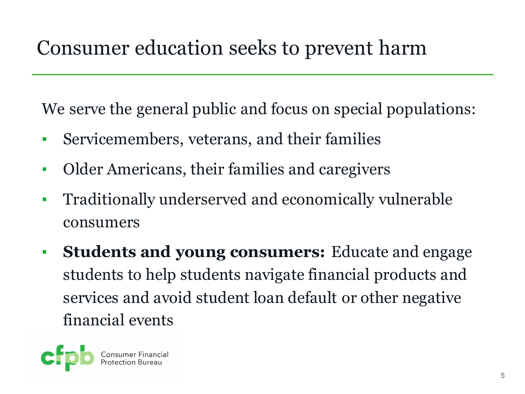### Consumer education seeks to prevent harm

We serve the general public and focus on special populations:

- Servicemembers, veterans, and their families
- Older Americans, their families and caregivers
- Traditionally underserved and economically vulnerable consumers
- **Students and young consumers:** Educate and engage students to help students navigate financial products and services and avoid student loan default or other negative financial events

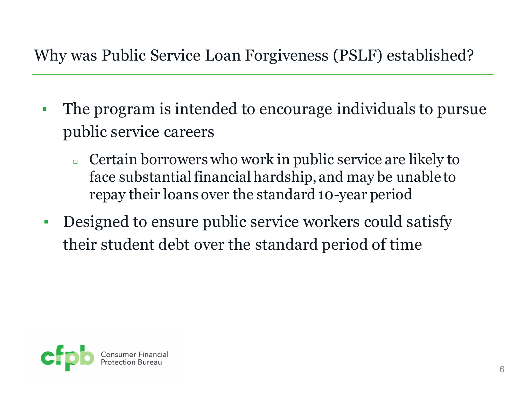#### Why was Public Service Loan Forgiveness (PSLF) established?

- The program is intended to encourage individuals to pursue public service careers
	- <sup>◻</sup> Certain borrowers who work in public service are likely to face substantial financial hardship, and may be unable to repay their loans over the standard 10-year period
- Designed to ensure public service workers could satisfy their student debt over the standard period of time

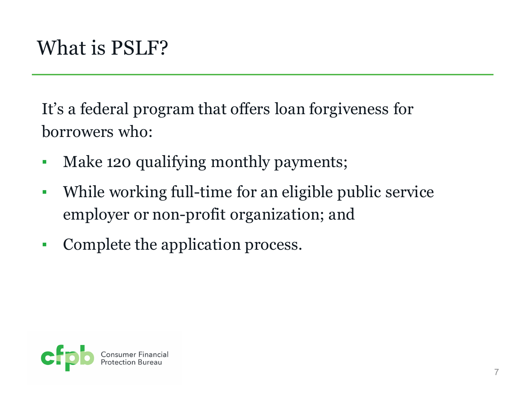# What is PSLF?

It's a federal program that offers loan forgiveness for borrowers who:

- Make 120 qualifying monthly payments;
- While working full-time for an eligible public service employer or non-profit organization; and
- Complete the application process.

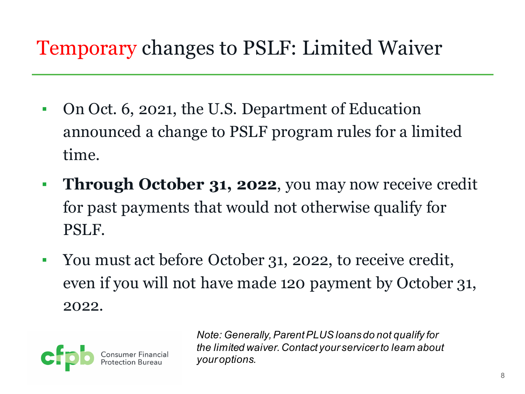### Temporary changes to PSLF: Limited Waiver

- On Oct. 6, 2021, the U.S. Department of Education announced a change to PSLF program rules for a limited time.
- **Through October 31, 2022**, you may now receive credit for past payments that would not otherwise qualify for PSLF.
- You must act before October 31, 2022, to receive credit, even if you will not have made 120 payment by October 31, 2022.



*Note: Generally, Parent PLUS loans do not qualify for the limited waiver. Contact your servicer to learn about your options.*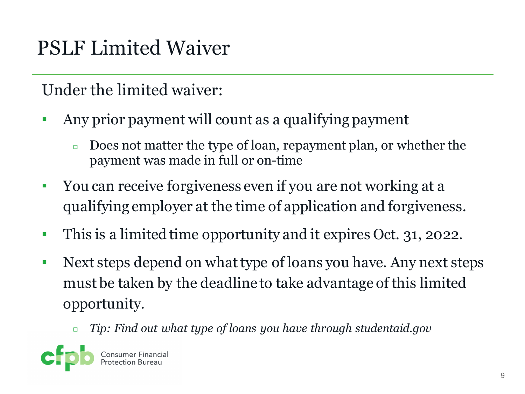# PSLF Limited Waiver

Under the limited waiver:

- Any prior payment will count as a qualifying payment
	- <sup>◻</sup> Does not matter the type of loan, repayment plan, or whether the payment was made in full or on-time
- You can receive forgiveness even if you are not working at a qualifying employer at the time of application and forgiveness.
- This is a limited time opportunity and it expires Oct. 31, 2022.
- Next steps depend on what type of loans you have. Any next steps must be taken by the deadline to take advantage of this limited opportunity.
	- <sup>◻</sup> *Tip: Find out what type of loans you have through studentaid.gov*

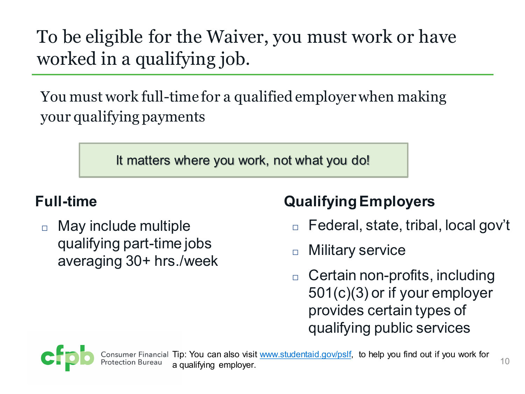To be eligible for the Waiver, you must work or have worked in a qualifying job.

You must work full-time for a qualified employer when making your qualifying payments

It matters where you work, not what you do!

#### **Full-time**

 May include multiple qualifying part-time jobs averaging 30+ hrs./week

#### **Qualifying Employers**

- Federal, state, tribal, local gov't
- □ Military service
- □ Certain non-profits, including 501(c)(3) or if your employer provides certain types of qualifying public services

10

าancial Tip: You can also visit <u>www.studentaid.gov/pslf</u>, to help you find out if you work for a qualifying employer.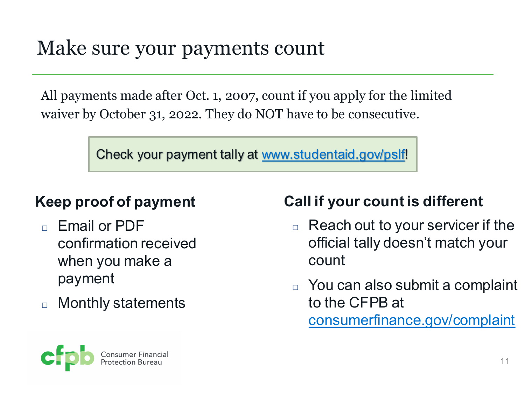### Make sure your payments count

All payments made after Oct. 1, 2007, count if you apply for the limited waiver by October 31, 2022. They do NOT have to be consecutive.

Check your payment tally at [www.studentaid.gov/pslf!](http://www.studentaid.gov/pslf)

#### **Keep proof of payment**

- Email or PDF confirmation received when you make a payment
- □ Monthly statements

#### **Call if your count is different**

- $\Box$  Reach out to your servicer if the official tally doesn't match your count
- You can also submit a complaint to the CFPB at [consumerfinance.gov/complaint](http://www.consumerfinance.gov/complaint)

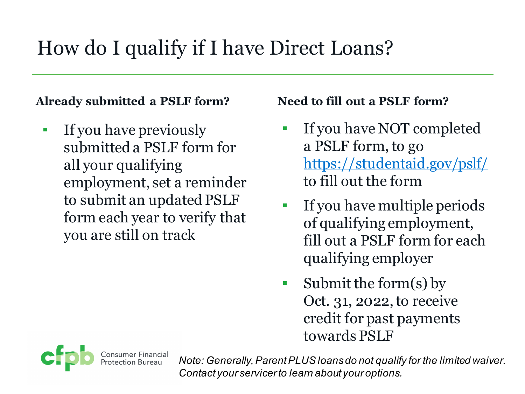## How do I qualify if I have Direct Loans?

#### **Already submitted a PSLF form?**

**•** If you have previously submitted a PSLF form for all your qualifying employment, set a reminder to submit an updated PSLF form each year to verify that you are still on track

#### **Need to fill out a PSLF form?**

- If you have NOT completed a PSLF form, to go <https://studentaid.gov/pslf/> to fill out the form
- If you have multiple periods of qualifying employment, fill out a PSLF form for each qualifying employer
- $\blacksquare$  Submit the form(s) by Oct. 31, 2022, to receive credit for past payments towards PSLF

*Note: Generally, Parent PLUS loans do not qualify for the limited waiver. Contact your servicer to learn about your options.*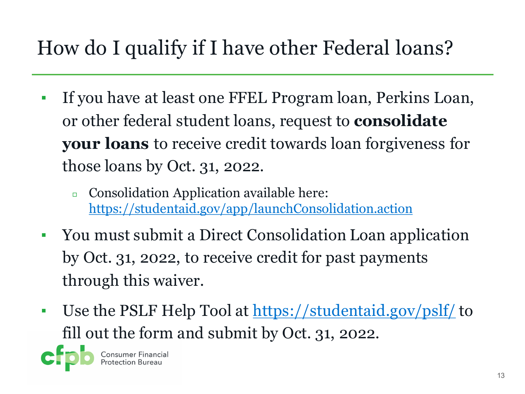# How do I qualify if I have other Federal loans?

- If you have at least one FFEL Program loan, Perkins Loan, or other federal student loans, request to **consolidate your loans** to receive credit towards loan forgiveness for those loans by Oct. 31, 2022.
	- <sup>◻</sup> Consolidation Application available here: <https://studentaid.gov/app/launchConsolidation.action>
- You must submit a Direct Consolidation Loan application by Oct. 31, 2022, to receive credit for past payments through this waiver.
- **Use the PSLF Help Tool at<https://studentaid.gov/pslf/> to** fill out the form and submit by Oct. 31, 2022.

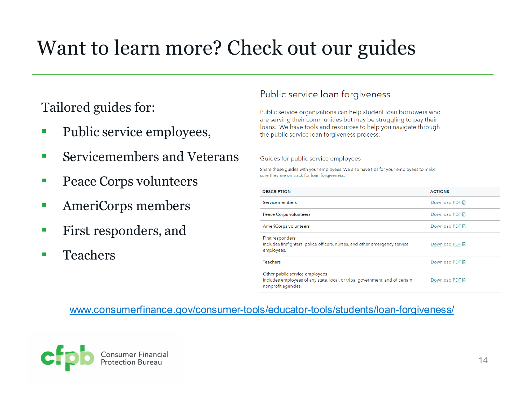# Want to learn more? Check out our guides

Tailored guides for:

- Public service employees,
- Servicemembers and Veterans
- Peace Corps volunteers
- **EXECUTE:** AmeriCorps members
- **First responders, and**
- Teachers

#### Public service loan forgiveness

Public service organizations can help student loan borrowers who are serving their communities but may be struggling to pay their loans. We have tools and resources to help you navigate through the public service loan forgiveness process.

Guides for public service employees

Share these guides with your employees. We also have tips for your employees to make sure they are on track for loan forgiveness.

| <b>DESCRIPTION</b>                                                                                                                    | <b>ACTIONS</b> |
|---------------------------------------------------------------------------------------------------------------------------------------|----------------|
| Servicemembers                                                                                                                        | Download PDF D |
| <b>Peace Corps volunteers</b>                                                                                                         | Download PDF D |
| AmeriCorps volunteers                                                                                                                 | Download PDF D |
| <b>First responders</b><br>Includes firefighters, police officers, nurses, and other emergency service<br>employees.                  | Download PDF D |
| <b>Teachers</b>                                                                                                                       | Download PDF D |
| Other public service employees<br>Includes employees of any state, local, or tribal government, and of certain<br>nonprofit agencies. | Download PDF D |

#### [www.consumerfinance.gov/consumer-tools/educator-tools/students/loan-forgiveness/](http://www.consumerfinance.gov/consumer-tools/educator-tools/students/loan-forgiveness/)

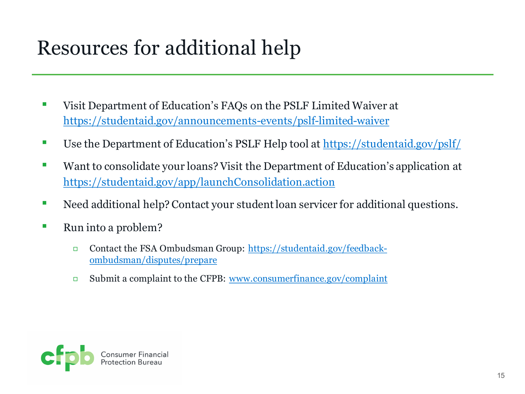# Resources for additional help

- Visit Department of Education's FAQs on the PSLF Limited Waiver at <https://studentaid.gov/announcements-events/pslf-limited-waiver>
- Use the Department of Education's PSLF Help tool at<https://studentaid.gov/pslf/>
- Want to consolidate your loans? Visit the Department of Education's application at <https://studentaid.gov/app/launchConsolidation.action>
- Need additional help? Contact your student loan servicer for additional questions.
- Run into a problem?
	- ◻ [Contact the FSA Ombudsman Group: https://studentaid.gov/feedback](https://studentaid.gov/feedback-ombudsman/disputes/prepare)ombudsman/disputes/prepare
	- ◻ Submit a complaint to the CFPB: [www.consumerfinance.gov/complaint](http://www.consumerfinance.gov/complaint)

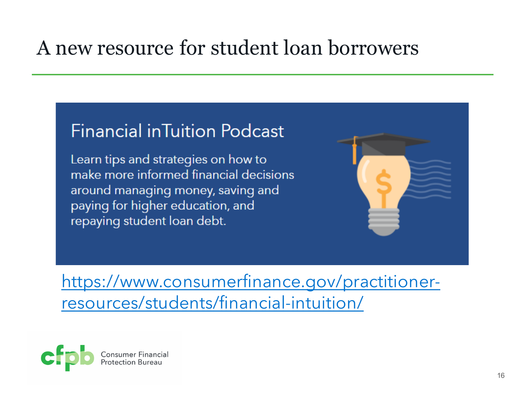### A new resource for student loan borrowers

#### **Financial inTuition Podcast**

Learn tips and strategies on how to make more informed financial decisions around managing money, saving and paying for higher education, and repaying student loan debt.



[https://www.consumerfinance.gov/practitioner](https://www.consumerfinance.gov/practitioner-resources/students/financial-intuition/)resources/students/financial-intuition/